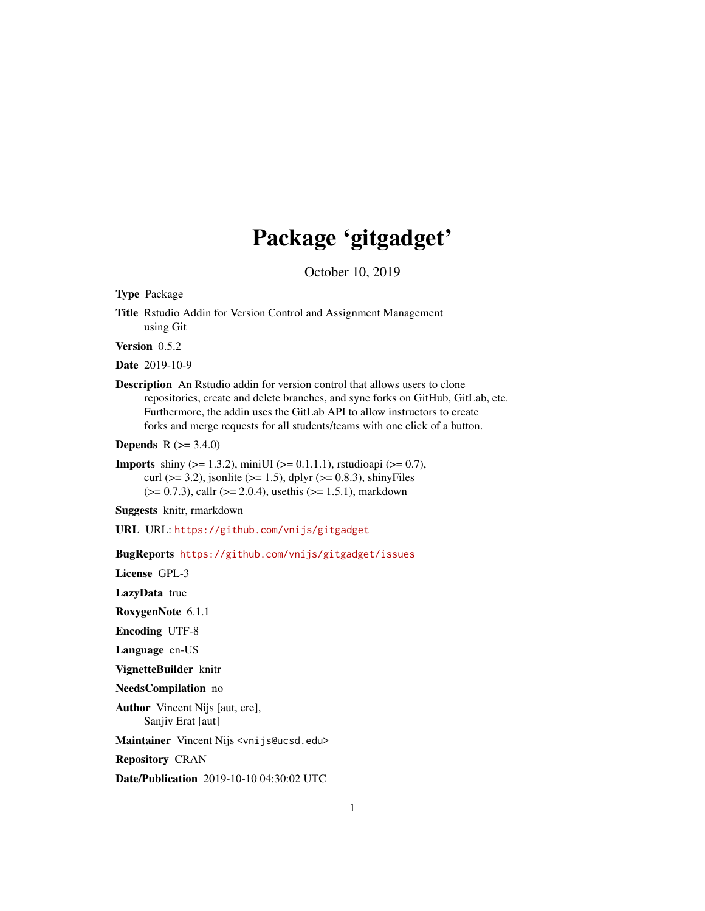## Package 'gitgadget'

October 10, 2019

Type Package

Title Rstudio Addin for Version Control and Assignment Management using Git

Version 0.5.2

Date 2019-10-9

Description An Rstudio addin for version control that allows users to clone repositories, create and delete branches, and sync forks on GitHub, GitLab, etc. Furthermore, the addin uses the GitLab API to allow instructors to create forks and merge requests for all students/teams with one click of a button.

**Depends**  $R (= 3.4.0)$ 

**Imports** shiny ( $>= 1.3.2$ ), miniUI ( $>= 0.1.1.1$ ), rstudioapi ( $>= 0.7$ ), curl ( $>= 3.2$ ), jsonlite ( $>= 1.5$ ), dplyr ( $>= 0.8.3$ ), shinyFiles  $(>= 0.7.3)$ , callr  $(>= 2.0.4)$ , usethis  $(>= 1.5.1)$ , markdown

Suggests knitr, rmarkdown

URL URL: <https://github.com/vnijs/gitgadget>

BugReports <https://github.com/vnijs/gitgadget/issues>

License GPL-3

LazyData true

RoxygenNote 6.1.1

Encoding UTF-8

Language en-US

VignetteBuilder knitr

NeedsCompilation no

Author Vincent Nijs [aut, cre], Sanjiv Erat [aut]

Maintainer Vincent Nijs <vnijs@ucsd.edu>

Repository CRAN

Date/Publication 2019-10-10 04:30:02 UTC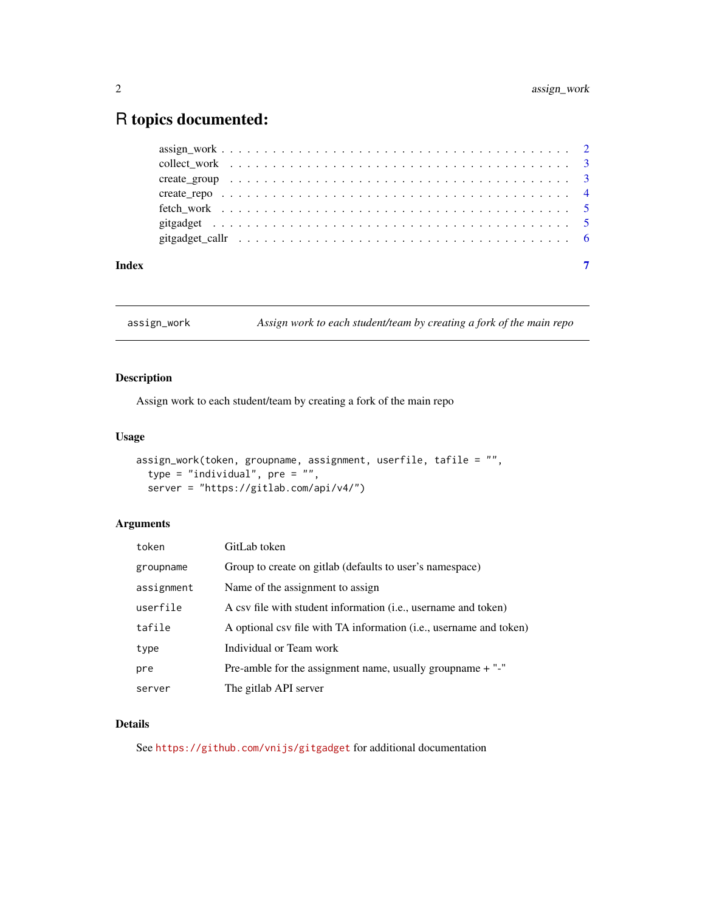### <span id="page-1-0"></span>R topics documented:

| gitgadget callr $\ldots \ldots \ldots \ldots \ldots \ldots \ldots \ldots \ldots \ldots \ldots \ldots \ldots$ |  |  |
|--------------------------------------------------------------------------------------------------------------|--|--|
|                                                                                                              |  |  |
|                                                                                                              |  |  |
|                                                                                                              |  |  |
|                                                                                                              |  |  |

assign\_work *Assign work to each student/team by creating a fork of the main repo*

#### Description

Assign work to each student/team by creating a fork of the main repo

#### Usage

```
assign_work(token, groupname, assignment, userfile, tafile = "",
 type = "individual", pre = "",
server = "https://gitlab.com/api/v4/")
```
#### Arguments

| token      | GitLab token                                                       |
|------------|--------------------------------------------------------------------|
| groupname  | Group to create on gitlab (defaults to user's namespace)           |
| assignment | Name of the assignment to assign                                   |
| userfile   | A csv file with student information (i.e., username and token)     |
| tafile     | A optional csv file with TA information (i.e., username and token) |
| type       | Individual or Team work                                            |
| pre        | Pre-amble for the assignment name, usually group name $+$ "-"      |
| server     | The gitlab API server                                              |

#### Details

See <https://github.com/vnijs/gitgadget> for additional documentation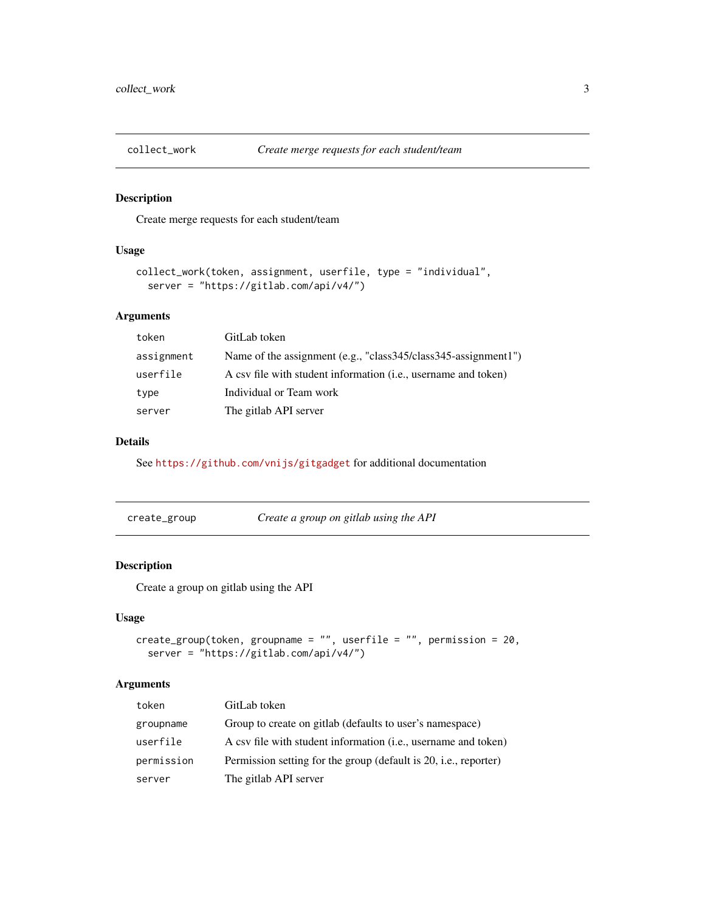<span id="page-2-0"></span>

#### Description

Create merge requests for each student/team

#### Usage

```
collect_work(token, assignment, userfile, type = "individual",
 server = "https://gitlab.com/api/v4/")
```
#### Arguments

| token      | GitLab token                                                            |
|------------|-------------------------------------------------------------------------|
| assignment | Name of the assignment (e.g., "class345/class345-assignment1")          |
| userfile   | A csv file with student information ( <i>i.e.</i> , username and token) |
| type       | Individual or Team work                                                 |
| server     | The gitlab API server                                                   |
|            |                                                                         |

#### Details

See <https://github.com/vnijs/gitgadget> for additional documentation

| create_group | Create a group on gitlab using the API |
|--------------|----------------------------------------|
|              |                                        |

#### Description

Create a group on gitlab using the API

#### Usage

```
create_group(token, groupname = "", userfile = "", permission = 20,
 server = "https://gitlab.com/api/v4/")
```
#### Arguments

| token      | GitLab token                                                            |
|------------|-------------------------------------------------------------------------|
| groupname  | Group to create on gitlab (defaults to user's namespace)                |
| userfile   | A csv file with student information ( <i>i.e.</i> , username and token) |
| permission | Permission setting for the group (default is 20, i.e., reporter)        |
| server     | The gitlab API server                                                   |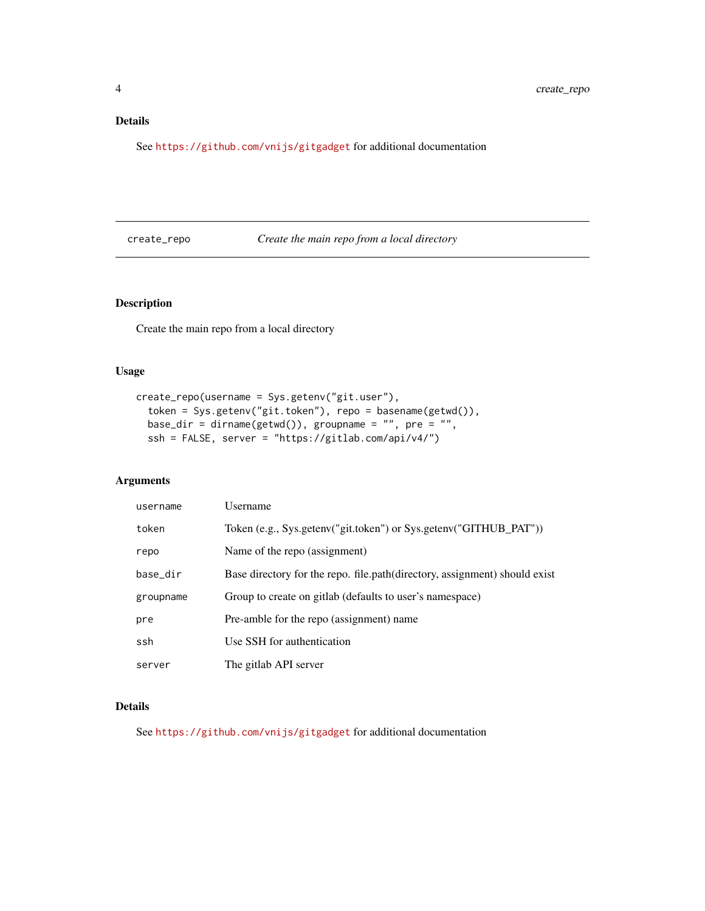#### <span id="page-3-0"></span>Details

See <https://github.com/vnijs/gitgadget> for additional documentation

#### create\_repo *Create the main repo from a local directory*

#### Description

Create the main repo from a local directory

#### Usage

```
create_repo(username = Sys.getenv("git.user"),
 token = Sys.getenv("git.token"), repo = basename(getwd()),
base_dir = dirname(getwd()), groupname = "", pre = "",
 ssh = FALSE, server = "https://gitlab.com/api/v4/")
```
#### Arguments

| username  | Username                                                                    |
|-----------|-----------------------------------------------------------------------------|
| token     | Token (e.g., Sys.getenv("git.token") or Sys.getenv("GITHUB_PAT"))           |
| repo      | Name of the repo (assignment)                                               |
| base_dir  | Base directory for the repo. file.path (directory, assignment) should exist |
| groupname | Group to create on gitlab (defaults to user's namespace)                    |
| pre       | Pre-amble for the repo (assignment) name                                    |
| ssh       | Use SSH for authentication                                                  |
| server    | The gitlab API server                                                       |

#### Details

See <https://github.com/vnijs/gitgadget> for additional documentation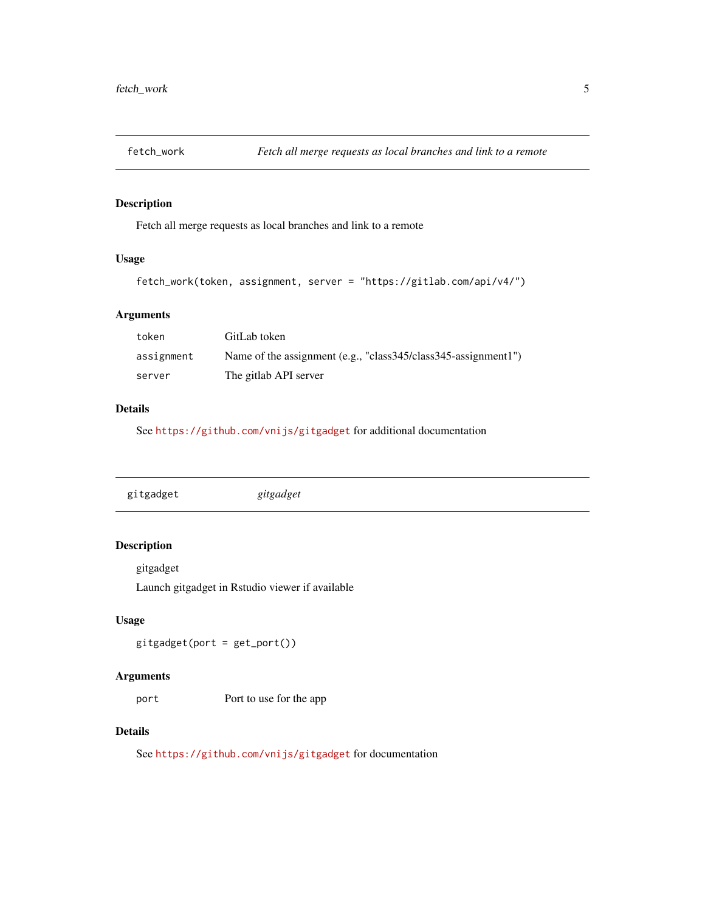<span id="page-4-0"></span>

#### Description

Fetch all merge requests as local branches and link to a remote

#### Usage

```
fetch_work(token, assignment, server = "https://gitlab.com/api/v4/")
```
#### Arguments

| token      | GitLab token                                                   |
|------------|----------------------------------------------------------------|
| assignment | Name of the assignment (e.g., "class345/class345-assignment1") |
| server     | The gitlab API server                                          |

#### Details

See <https://github.com/vnijs/gitgadget> for additional documentation

| gitgadget | gitgadget |  |  |  |
|-----------|-----------|--|--|--|
|-----------|-----------|--|--|--|

#### Description

gitgadget

Launch gitgadget in Rstudio viewer if available

#### Usage

 $gityadget(port = get\_port())$ 

#### Arguments

port Port to use for the app

#### Details

See <https://github.com/vnijs/gitgadget> for documentation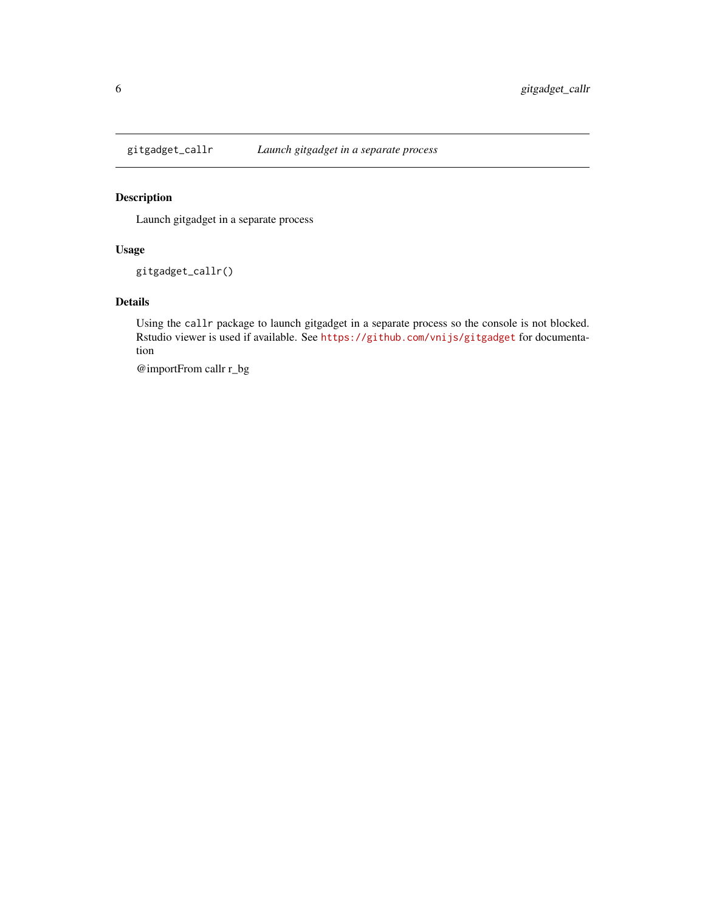<span id="page-5-0"></span>

#### Description

Launch gitgadget in a separate process

#### Usage

gitgadget\_callr()

#### Details

Using the callr package to launch gitgadget in a separate process so the console is not blocked. Rstudio viewer is used if available. See <https://github.com/vnijs/gitgadget> for documentation

@importFrom callr r\_bg